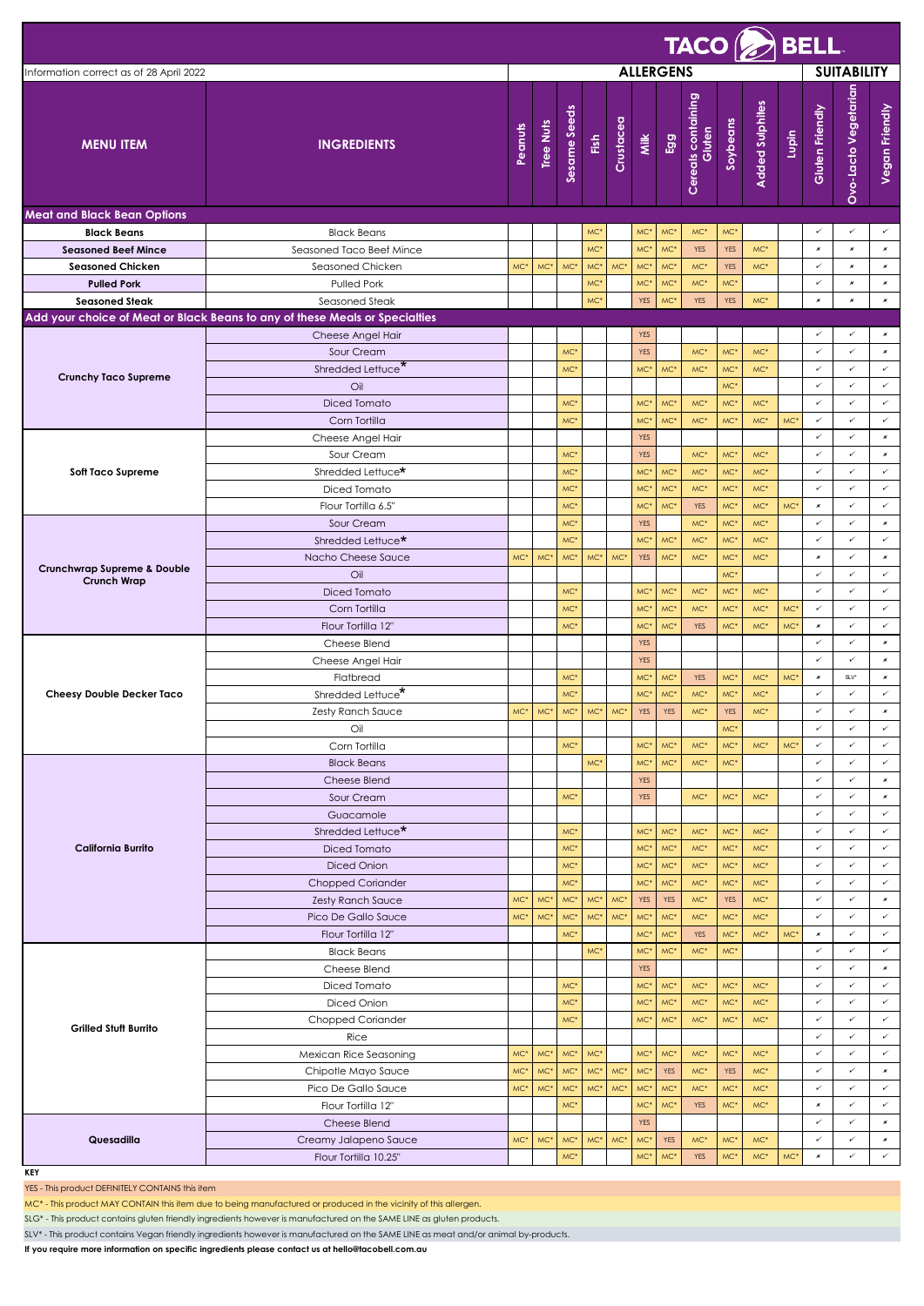|                                                   | $TACO \left ( \geqslant \right )$ BELL                                                           |                  |                  |                          |                 |                 |                                                         |                        |                                |                                                         |                            |                 |                                  |                           |                                                                           |  |  |
|---------------------------------------------------|--------------------------------------------------------------------------------------------------|------------------|------------------|--------------------------|-----------------|-----------------|---------------------------------------------------------|------------------------|--------------------------------|---------------------------------------------------------|----------------------------|-----------------|----------------------------------|---------------------------|---------------------------------------------------------------------------|--|--|
| Information correct as of 28 April 2022           |                                                                                                  | <b>ALLERGENS</b> |                  |                          |                 |                 |                                                         |                        |                                |                                                         | <b>SUITABILITY</b>         |                 |                                  |                           |                                                                           |  |  |
| <b>MENU ITEM</b>                                  | <b>INGREDIENTS</b>                                                                               | Peanuts          | <b>Tree Nuts</b> | Sesame Seeds             | Fish            | Crustacea       | Milk                                                    | Egg                    | Cereals containing<br>Gluten   | Soybeans                                                | <b>Added Sulphites</b>     | Lupin           | Gluten Friendly                  | Ovo-Lacto Vegetarian      | Vegan Friendly                                                            |  |  |
| <b>Meat and Black Bean Options</b>                |                                                                                                  |                  |                  |                          |                 |                 |                                                         |                        |                                |                                                         |                            |                 |                                  |                           |                                                                           |  |  |
| <b>Black Beans</b>                                | <b>Black Beans</b>                                                                               |                  |                  |                          | MC'             |                 | MC <sup>*</sup>                                         | MC'                    | $MC^*$                         | MC*                                                     |                            |                 | ✓                                | ✓                         | $\checkmark$                                                              |  |  |
| <b>Seasoned Beef Mince</b>                        | Seasoned Taco Beef Mince                                                                         |                  |                  |                          | MC <sup>*</sup> |                 | MC <sup>*</sup>                                         | MC*                    | <b>YES</b>                     | <b>YES</b>                                              | MC*                        |                 | $\pmb{\times}$                   | $\boldsymbol{\mathsf{x}}$ | $\pmb{\mathsf{x}}$                                                        |  |  |
| <b>Seasoned Chicken</b>                           | Seasoned Chicken                                                                                 | MC <sup>*</sup>  | MC*              | MC <sup>*</sup>          | MC*             | $MC^*$          | MC <sup>*</sup>                                         | MC'                    | MC*                            | <b>YES</b>                                              | $MC*$                      |                 | ✓                                | $\pmb{\times}$            | $\pmb{\times}$                                                            |  |  |
| <b>Pulled Pork</b>                                | <b>Pulled Pork</b>                                                                               |                  |                  |                          | MC <sup>*</sup> |                 | MC <sup>*</sup>                                         | MC'                    | $MC^*$                         | MC <sup>*</sup>                                         |                            |                 | ✓                                | $\pmb{\times}$            | $\pmb{x}$                                                                 |  |  |
| <b>Seasoned Steak</b>                             | Seasoned Steak                                                                                   |                  |                  |                          | MC*             |                 | <b>YES</b>                                              | MC*                    | <b>YES</b>                     | <b>YES</b>                                              | $MC*$                      |                 | $\pmb{\varkappa}$                | $\pmb{\varkappa}$         | $\pmb{\times}$                                                            |  |  |
|                                                   | Add your choice of Meat or Black Beans to any of these Meals or Specialties<br>Cheese Angel Hair |                  |                  |                          |                 |                 | <b>YES</b>                                              |                        |                                |                                                         |                            |                 | ✓                                | ✓                         | $\pmb{\varkappa}$                                                         |  |  |
| <b>Crunchy Taco Supreme</b>                       | Sour Cream<br>Shredded Lettuce*<br>Oil<br>Diced Tomato<br>Corn Tortilla                          |                  |                  | MC*<br>MC*<br>MC*<br>MC* |                 |                 | <b>YES</b><br>MC <sup>*</sup><br>MC*<br>MC <sup>*</sup> | MC*<br>MC*<br>MC'      | $MC^*$<br>$MC^*$<br>MC*<br>MC* | MC*<br>MC <sup>*</sup><br>MC*<br>MC*<br>MC <sup>*</sup> | MC*<br>MC*<br>$MC*$<br>MC* | MC <sup>*</sup> | $\checkmark$<br>✓<br>✓<br>✓<br>✓ | ✓<br>✓<br>✓<br>✓<br>✓     | $\pmb{x}$<br>$\checkmark$<br>$\checkmark$<br>$\checkmark$<br>$\checkmark$ |  |  |
|                                                   | Cheese Angel Hair                                                                                |                  |                  |                          |                 |                 | <b>YES</b>                                              |                        |                                |                                                         |                            |                 | ✓                                | ✓                         | $\pmb{\times}$                                                            |  |  |
| <b>Soft Taco Supreme</b>                          | Sour Cream                                                                                       |                  |                  | MC*                      |                 |                 | <b>YES</b>                                              |                        | $MC^*$                         | MC <sup>*</sup>                                         | $MC*$                      |                 | ✓                                | ✓                         | $\pmb{\varkappa}$                                                         |  |  |
|                                                   | Shredded Lettuce*                                                                                |                  |                  | MC <sup>*</sup>          |                 |                 | MC <sup>*</sup>                                         | MC*                    | $MC^*$                         | MC <sup>*</sup>                                         | MC*                        |                 | ✓                                | ✓                         | $\checkmark$                                                              |  |  |
|                                                   | Diced Tomato                                                                                     |                  |                  | MC <sup>*</sup>          |                 |                 | MC*                                                     | MC*                    | $MC^*$                         | MC <sup>*</sup>                                         | MC*                        |                 | ✓                                | ✓                         | $\checkmark$                                                              |  |  |
|                                                   | Flour Tortilla 6.5"                                                                              |                  |                  | MC*                      |                 |                 | MC*                                                     | MC*                    | <b>YES</b>                     | MC <sup>*</sup>                                         | $MC*$                      | MC*             | $\pmb{\varkappa}$                | ✓                         | $\checkmark$                                                              |  |  |
| Crunchwrap Supreme & Double<br><b>Crunch Wrap</b> | Sour Cream                                                                                       |                  |                  | MC <sup>*</sup>          |                 |                 | <b>YES</b>                                              |                        | MC*                            | MC <sup>*</sup>                                         | MC*                        |                 | ✓                                | ✓                         | $\pmb{\varkappa}$                                                         |  |  |
|                                                   | Shredded Lettuce*                                                                                |                  |                  | MC*                      |                 |                 | MC <sup>*</sup>                                         | MC*                    | $MC^*$                         | MC <sup>*</sup>                                         | MC*                        |                 | ✓                                | ✓                         | $\checkmark$                                                              |  |  |
|                                                   | Nacho Cheese Sauce                                                                               | $MC*$            | MC <sup></sup>   | MC <sup>*</sup>          | MC*             | MC*             | <b>YES</b>                                              | MC'                    | MC*                            | MC <sup>*</sup>                                         | MC*                        |                 | $\pmb{\times}$<br>$\checkmark$   | ✓<br>✓                    | $\pmb{\varkappa}$<br>$\checkmark$                                         |  |  |
|                                                   | Oil<br>Diced Tomato                                                                              |                  |                  | MC*                      |                 |                 | MC <sup>*</sup>                                         | MC*                    | $MC^*$                         | $MC*$<br>MC*                                            | $MC*$                      |                 | ✓                                | ✓                         | $\checkmark$                                                              |  |  |
|                                                   | Corn Tortilla                                                                                    |                  |                  | MC*                      |                 |                 | MC <sup>*</sup>                                         | MC <sup></sup>         | $MC^*$                         | MC <sup>*</sup>                                         | MC*                        | MC <sup>*</sup> | ✓                                | ✓                         | $\checkmark$                                                              |  |  |
|                                                   | Flour Tortilla 12"                                                                               |                  |                  | MC*                      |                 |                 | MC <sup>*</sup>                                         | MC*                    | <b>YES</b>                     | MC <sup>*</sup>                                         | MC*                        | MC <sup>*</sup> | $\pmb{\varkappa}$                | ✓                         | $\checkmark$                                                              |  |  |
|                                                   | Cheese Blend                                                                                     |                  |                  |                          |                 |                 | <b>YES</b>                                              |                        |                                |                                                         |                            |                 | ✓                                | ✓                         | $\pmb{\varkappa}$                                                         |  |  |
|                                                   | Cheese Angel Hair                                                                                |                  |                  |                          |                 |                 | <b>YES</b>                                              |                        |                                |                                                         |                            |                 | ✓                                | ✓                         | $\pmb{\times}$                                                            |  |  |
|                                                   | Flatbread                                                                                        |                  |                  | MC*                      |                 |                 | MC <sup>*</sup>                                         | MC*                    | <b>YES</b>                     | MC*                                                     | $MC*$                      | MC*             | $\pmb{x}$                        | $\text{SLV}^\star$        | $\pmb{x}$                                                                 |  |  |
| <b>Cheesy Double Decker Taco</b>                  | Shredded Lettuce*                                                                                |                  |                  | MC <sup>*</sup>          |                 |                 | MC <sup>*</sup>                                         | MC'                    | $MC^*$                         | MC <sup>*</sup>                                         | $MC*$                      |                 | ✓                                | ✓                         | $\checkmark$                                                              |  |  |
|                                                   | Zesty Ranch Sauce                                                                                | $MC*$            | MC*              | $MC*$                    | $MC*$           | MC*             | <b>YES</b>                                              | <b>YES</b>             | $MC^*$                         | <b>YES</b>                                              | MC*                        |                 | ✓                                | ✓                         | $\pmb{x}$                                                                 |  |  |
|                                                   | Oil                                                                                              |                  |                  |                          |                 |                 |                                                         |                        |                                | MC <sup>*</sup>                                         |                            |                 | ✓                                | ✓                         | $\checkmark$                                                              |  |  |
|                                                   | Corn Tortilla                                                                                    |                  |                  | MC <sup>*</sup>          |                 |                 | MC <sup>*</sup>                                         | MC*                    | $MC^*$                         | MC*                                                     | MC*                        | MC*             | ✓                                | ✓                         | $\checkmark$                                                              |  |  |
|                                                   | <b>Black Beans</b>                                                                               |                  |                  |                          | MC*             |                 | MC*                                                     | MC*                    | $MC^*$                         | MC*                                                     |                            |                 | ✓                                | ✓                         | $\checkmark$                                                              |  |  |
|                                                   | Cheese Blend                                                                                     |                  |                  |                          |                 |                 | <b>YES</b>                                              |                        |                                |                                                         |                            |                 | $\checkmark$                     | ✓                         | $\pmb{x}$                                                                 |  |  |
|                                                   | Sour Cream                                                                                       |                  |                  | MC*                      |                 |                 | <b>YES</b>                                              |                        | $MC^*$                         | MC*                                                     | MC*                        |                 | $\checkmark$                     | ✓                         | $\pmb{x}$                                                                 |  |  |
|                                                   | Guacamole                                                                                        |                  |                  |                          |                 |                 |                                                         |                        |                                |                                                         |                            |                 | ✓<br>✓                           | ✓<br>✓                    | $\checkmark$<br>$\checkmark$                                              |  |  |
| <b>California Burrito</b>                         | Shredded Lettuce*<br>Diced Tomato                                                                |                  |                  | $MC*$<br>MC <sup>*</sup> |                 |                 | MC*<br>MC*                                              | MC*<br>MC <sup>*</sup> | $MC^*$<br>$MC^*$               | MC*<br>MC*                                              | $MC^*$<br>$MC*$            |                 | ✓                                | ✓                         | $\checkmark$                                                              |  |  |
|                                                   | Diced Onion                                                                                      |                  |                  | MC*                      |                 |                 | MC*                                                     | MC*                    | $MC^*$                         | $MC*$                                                   | $MC^*$                     |                 | ✓                                | ✓                         | $\checkmark$                                                              |  |  |
|                                                   | <b>Chopped Coriander</b>                                                                         |                  |                  | $MC*$                    |                 |                 | MC*                                                     | MC*                    | $MC^*$                         | MC*                                                     | $MC^*$                     |                 | ✓                                | ✓                         | $\checkmark$                                                              |  |  |
|                                                   | <b>Zesty Ranch Sauce</b>                                                                         | MC*              | MC*              | $MC^*$                   | $MC^{\ast}$     | $MC^{\ast}$     | <b>YES</b>                                              | <b>YES</b>             | $MC^*$                         | <b>YES</b>                                              | $MC^*$                     |                 | $\checkmark$                     | ✓                         | $\pmb{x}$                                                                 |  |  |
|                                                   | Pico De Gallo Sauce                                                                              | MC*              | MC*              | $MC*$                    | $MC^{\ast}$     | $\mathsf{MC}^*$ | $MC*$                                                   | MC*                    | $MC^*$                         | MC*                                                     | $MC^{\ast}$                |                 | $\checkmark$                     | ✓                         | $\checkmark$                                                              |  |  |
|                                                   | Flour Tortilla 12"                                                                               |                  |                  | $MC*$                    |                 |                 | MC <sup>*</sup>                                         | MC'                    | <b>YES</b>                     | MC*                                                     | $MC^{\ast}$                | MC <sup>*</sup> | $\pmb{x}$                        | ✓                         | $\checkmark$                                                              |  |  |
| <b>Grilled Stuft Burrito</b>                      | <b>Black Beans</b>                                                                               |                  |                  |                          | MC <sup>*</sup> |                 | MC*                                                     | MC <sup>*</sup>        | $MC^*$                         | MC*                                                     |                            |                 | ✓                                | ✓                         | $\checkmark$                                                              |  |  |
|                                                   | Cheese Blend                                                                                     |                  |                  |                          |                 |                 | <b>YES</b>                                              |                        |                                |                                                         |                            |                 | $\checkmark$                     | ✓                         | $\pmb{x}$                                                                 |  |  |
|                                                   | Diced Tomato                                                                                     |                  |                  | MC*                      |                 |                 | MC*                                                     | MC*                    | MC*                            | MC*                                                     | MC*                        |                 | ✓                                | ✓                         | $\checkmark$                                                              |  |  |
|                                                   | Diced Onion                                                                                      |                  |                  | $MC*$                    |                 |                 | MC*                                                     | MC*                    | $MC^*$                         | MC*                                                     | $MC^*$                     |                 | ✓                                | ✓                         | $\checkmark$                                                              |  |  |
|                                                   | Chopped Coriander                                                                                |                  |                  | MC*                      |                 |                 | MC*                                                     | MC*                    | $MC^{\ast}$                    | MC*                                                     | $MC*$                      |                 | ✓                                | ✓<br>✓                    | $\checkmark$                                                              |  |  |
|                                                   | Rice                                                                                             | $MC^*$           | MC*              | $MC^*$                   | $MC*$           |                 | MC*                                                     | MC*                    |                                | MC*                                                     | $MC^*$                     |                 | ✓<br>✓                           | ✓                         | $\checkmark$<br>$\checkmark$                                              |  |  |
|                                                   | Mexican Rice Seasoning<br>Chipotle Mayo Sauce                                                    | MC <sup>*</sup>  | MC*              | MC*                      | $MC^*$          | $\mathsf{MC}^*$ | MC*                                                     | <b>YES</b>             | $MC^*$<br>$MC*$                | <b>YES</b>                                              | $MC^*$                     |                 | ✓                                | ✓                         | $\pmb{x}$                                                                 |  |  |
|                                                   | Pico De Gallo Sauce                                                                              | MC*              | MC*              | MC*                      | $MC^*$          | $MC^{\ast}$     | $MC*$                                                   | MC*                    | $MC^*$                         | MC*                                                     | $MC^*$                     |                 | ✓                                | ✓                         | $\checkmark$                                                              |  |  |
|                                                   | Flour Tortilla 12"                                                                               |                  |                  | $MC^*$                   |                 |                 | MC*                                                     | MC <sup>*</sup>        | <b>YES</b>                     | MC*                                                     | $MC^*$                     |                 | $\pmb{x}$                        | ✓                         | $\checkmark$                                                              |  |  |
|                                                   | Cheese Blend                                                                                     |                  |                  |                          |                 |                 | <b>YES</b>                                              |                        |                                |                                                         |                            |                 | ✓                                | ✓                         | $\pmb{x}$                                                                 |  |  |
| Quesadilla                                        | Creamy Jalapeno Sauce                                                                            | $MC^*$           | MC*              | $MC^*$                   | $MC^*$          | $MC^*$          | MC*                                                     | <b>YES</b>             | $MC*$                          | MC*                                                     | MC*                        |                 | $\checkmark$                     | ✓                         | $\pmb{x}$                                                                 |  |  |
|                                                   | Flour Tortilla 10.25"                                                                            |                  |                  | $MC^*$                   |                 |                 | $MC*$                                                   | MC <sup>*</sup>        | <b>YES</b>                     | $MC^*$                                                  | $MC^{\ast}$                | MC*             | $\pmb{x}$                        | ✓                         | $\checkmark$                                                              |  |  |

**KEY**

YES - This product DEFINITELY CONTAINS this item

MC\* - This product MAY CONTAIN this item due to being manufactured or produced in the vicinity of this allergen.

SLG\* - This product contains gluten friendly ingredients however is manufactured on the SAME LINE as gluten products.

SLV\* - This product contains Vegan friendly ingredients however is manufactured on the SAME LINE as meat and/or animal by-products.

**If you require more information on specific ingredients please contact us at hello@tacobell.com.au**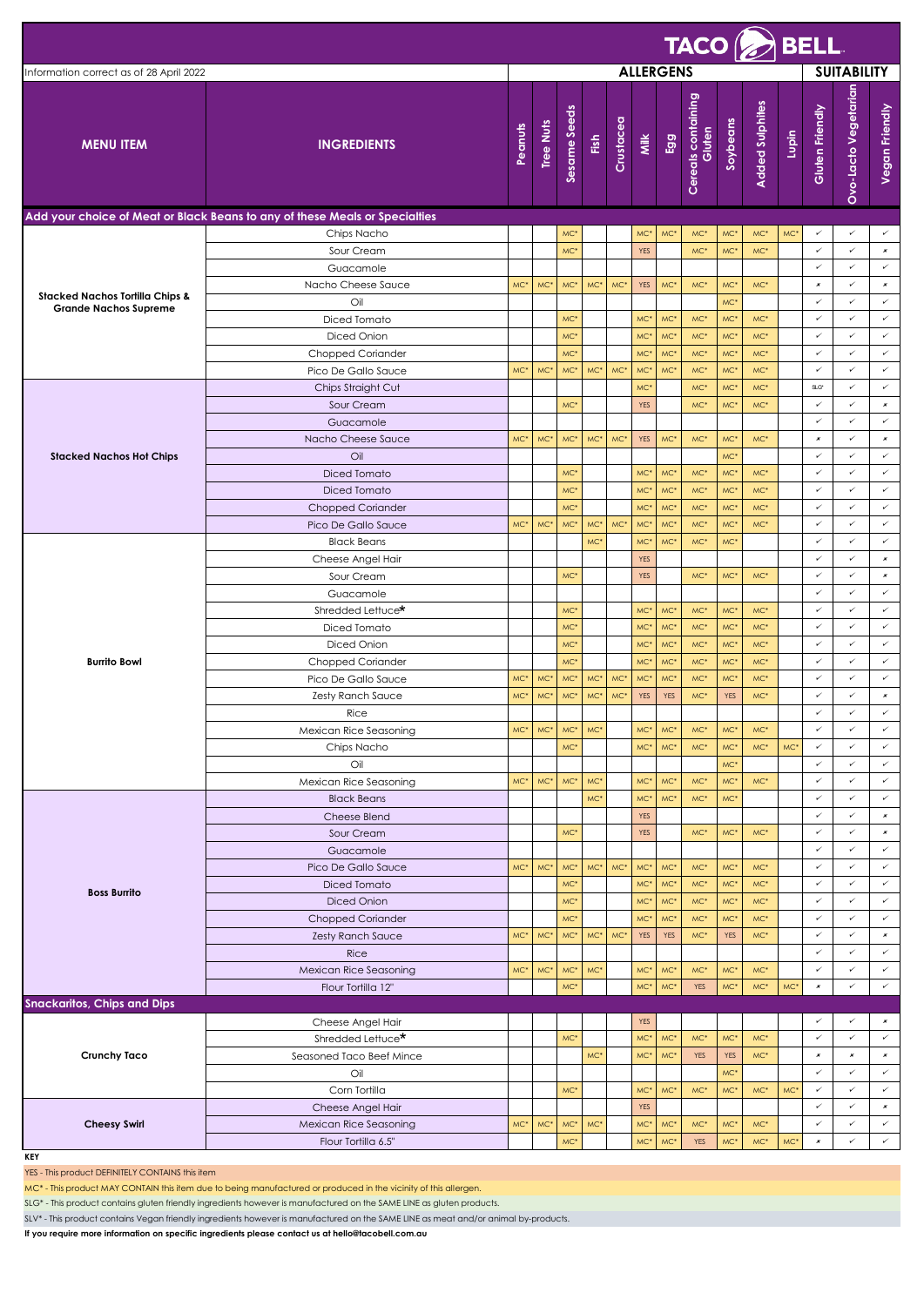|                                            | $TACO \left( \frac{1}{\sqrt{2}} \right)$ BELL                               |                 |                  |                 |                          |           |                                    |                        |                              |                                    |                        |       |                                |                      |                                   |  |
|--------------------------------------------|-----------------------------------------------------------------------------|-----------------|------------------|-----------------|--------------------------|-----------|------------------------------------|------------------------|------------------------------|------------------------------------|------------------------|-------|--------------------------------|----------------------|-----------------------------------|--|
| Information correct as of 28 April 2022    |                                                                             |                 | <b>ALLERGENS</b> |                 |                          |           |                                    |                        |                              |                                    |                        |       | <b>SUITABILITY</b>             |                      |                                   |  |
| <b>MENU ITEM</b>                           | <b>INGREDIENTS</b>                                                          | Peanuts         | <b>Tree Nuts</b> | Sesame Seeds    | $\mathop{\mathrm{Fish}}$ | Crustacea | Milk                               | Egg                    | Cereals containing<br>Gluten | Soybeans                           | <b>Added Sulphites</b> | Lupin | Gluten Friendly                | Ovo-Lacto Vegetarian | Vegan Friendly                    |  |
|                                            | Add your choice of Meat or Black Beans to any of these Meals or Specialties |                 |                  |                 |                          |           |                                    |                        |                              |                                    |                        |       |                                |                      |                                   |  |
|                                            | Chips Nacho                                                                 |                 |                  | MC <sup>®</sup> |                          |           | MC <sup>*</sup>                    | MC <sup>*</sup>        | MC*                          | MC <sup>*</sup>                    | $MC*$                  | MC*   | ✓                              | ✓                    | $\checkmark$                      |  |
|                                            | Sour Cream                                                                  |                 |                  | $MC*$           |                          |           | <b>YES</b>                         |                        | MC*                          | MC <sup>*</sup>                    | MC*                    |       | $\checkmark$<br>✓              | ✓<br>✓               | $\pmb{\varkappa}$<br>$\checkmark$ |  |
|                                            | Guacamole<br>Nacho Cheese Sauce                                             | MC*             | MC <sup>*</sup>  | MC*             | MC*                      | MC*       | <b>YES</b>                         | MC <sup>*</sup>        | MC*                          | MC <sup>*</sup>                    | $MC*$                  |       | $\pmb{\times}$                 | ✓                    | $\pmb{\varkappa}$                 |  |
| <b>Stacked Nachos Tortilla Chips &amp;</b> | Oil                                                                         |                 |                  |                 |                          |           |                                    |                        |                              | MC <sup>*</sup>                    |                        |       | ✓                              | ✓                    | $\checkmark$                      |  |
| <b>Grande Nachos Supreme</b>               | Diced Tomato                                                                |                 |                  | MC*             |                          |           | MC <sup>*</sup>                    | MC <sup>*</sup>        | $MC^*$                       | MC*                                | MC*                    |       | ✓                              | ✓                    | $\checkmark$                      |  |
|                                            | Diced Onion                                                                 |                 |                  | MC*             |                          |           | MC <sup>*</sup>                    | MC <sup>*</sup>        | $MC^*$                       | MC <sup>*</sup>                    | MC*                    |       | $\checkmark$                   | ✓                    | $\checkmark$                      |  |
|                                            | <b>Chopped Coriander</b>                                                    |                 |                  | $MC*$           |                          |           | MC <sup>*</sup>                    | MC*                    | $MC^*$                       | MC <sup>*</sup>                    | $MC^*$                 |       | ✓                              | ✓                    | $\checkmark$                      |  |
|                                            | Pico De Gallo Sauce                                                         | MC*             | MC'              | MC*             | $MC^*$                   | $MC^*$    | MC <sup>*</sup>                    | MC*                    | $MC*$                        | MC <sup>*</sup>                    | MC*                    |       | ✓                              | ✓                    | ✓                                 |  |
|                                            | Chips Straight Cut                                                          |                 |                  |                 |                          |           | MC <sup>*</sup>                    |                        | MC <sup>*</sup>              | MC <sup>*</sup>                    | MC*                    |       | $SLG^*$                        | ✓                    | $\checkmark$                      |  |
|                                            | Sour Cream                                                                  |                 |                  | $MC*$           |                          |           | <b>YES</b>                         |                        | $MC^*$                       | MC <sup>*</sup>                    | MC*                    |       | $\checkmark$                   | ✓                    | $\pmb{\times}$                    |  |
|                                            | Guacamole                                                                   |                 |                  |                 |                          |           |                                    |                        |                              |                                    |                        |       | ✓                              | ✓                    | $\checkmark$                      |  |
| <b>Stacked Nachos Hot Chips</b>            | Nacho Cheese Sauce<br>Oil                                                   | MC*             | $MC*$            | $MC*$           | $MC^*$                   | MC*       | <b>YES</b>                         | MC <sup>*</sup>        | MC*                          | MC <sup>*</sup><br>MC <sup>*</sup> | MC*                    |       | $\pmb{\times}$<br>$\checkmark$ | ✓<br>✓               | $\pmb{\varkappa}$<br>$\checkmark$ |  |
|                                            | Diced Tomato                                                                |                 |                  | MC <sup>*</sup> |                          |           | MC <sup>*</sup>                    | MC <sup>*</sup>        | MC*                          | MC <sup>*</sup>                    | $MC*$                  |       | ✓                              | ✓                    | $\checkmark$                      |  |
|                                            | Diced Tomato                                                                |                 |                  | MC <sup>*</sup> |                          |           | MC <sup>*</sup>                    | MC*                    | MC*                          | MC <sup>*</sup>                    | MC*                    |       | ✓                              | ✓                    | $\checkmark$                      |  |
|                                            | <b>Chopped Coriander</b>                                                    |                 |                  | MC*             |                          |           | MC*                                | MC*                    | $MC*$                        | MC <sup>*</sup>                    | MC*                    |       | ✓                              | ✓                    | $\checkmark$                      |  |
|                                            | Pico De Gallo Sauce                                                         | MC*             | MC <sup>*</sup>  | MC*             | MC*                      | MC*       | MC <sup>*</sup>                    | MC <sup>*</sup>        | MC*                          | MC <sup>*</sup>                    | MC*                    |       | ✓                              | ✓                    | $\checkmark$                      |  |
|                                            | <b>Black Beans</b>                                                          |                 |                  |                 | MC*                      |           | MC <sup>*</sup>                    | MC <sup>*</sup>        | $MC^*$                       | MC*                                |                        |       | $\checkmark$                   | ✓                    | $\checkmark$                      |  |
|                                            | Cheese Angel Hair                                                           |                 |                  |                 |                          |           | <b>YES</b>                         |                        |                              |                                    |                        |       | $\checkmark$                   | ✓                    | $\pmb{\varkappa}$                 |  |
|                                            | Sour Cream                                                                  |                 |                  | MC*             |                          |           | <b>YES</b>                         |                        | MC*                          | MC <sup>*</sup>                    | MC*                    |       | $\checkmark$                   | ✓                    | $\pmb{\varkappa}$                 |  |
|                                            | Guacamole                                                                   |                 |                  |                 |                          |           |                                    |                        |                              |                                    |                        |       | ✓                              | ✓                    | $\checkmark$                      |  |
|                                            | Shredded Lettuce*                                                           |                 |                  | MC <sup>*</sup> |                          |           | MC <sup>*</sup>                    | MC <sup>*</sup>        | MC*                          | MC <sup>*</sup>                    | MC*                    |       | ✓                              | ✓                    | $\checkmark$                      |  |
|                                            | Diced Tomato                                                                |                 |                  | MC*             |                          |           | MC <sup>*</sup>                    | MC <sup>*</sup>        | MC*                          | MC*                                | MC*                    |       | $\checkmark$<br>✓              | ✓<br>✓               | $\checkmark$<br>$\checkmark$      |  |
| <b>Burrito Bowl</b>                        | Diced Onion<br><b>Chopped Coriander</b>                                     |                 |                  | MC*<br>MC*      |                          |           | MC <sup>*</sup><br>MC <sup>*</sup> | MC*<br>MC <sup>*</sup> | $MC^*$<br>MC*                | MC*<br>MC <sup>*</sup>             | $MC^*$<br>$MC*$        |       | ✓                              | ✓                    | $\checkmark$                      |  |
|                                            | Pico De Gallo Sauce                                                         | MC*             | MC <sup>*</sup>  | $MC*$           | MC*                      | MC*       | MC <sup>*</sup>                    | MC*                    | MC <sup>*</sup>              | MC <sup>*</sup>                    | $MC*$                  |       | ✓                              | ✓                    | $\checkmark$                      |  |
|                                            | Zesty Ranch Sauce                                                           | MC <sup>*</sup> | MC'              | MC <sup>*</sup> | MC*                      | MC*       | <b>YES</b>                         | <b>YES</b>             | $MC*$                        | <b>YES</b>                         | MC*                    |       | ✓                              | ✓                    | $\pmb{\varkappa}$                 |  |
|                                            | Rice                                                                        |                 |                  |                 |                          |           |                                    |                        |                              |                                    |                        |       | ✓                              | ✓                    | $\checkmark$                      |  |
|                                            | Mexican Rice Seasoning                                                      |                 |                  | MC* MC* MC* MC* |                          |           | MC*                                | MC <sup>*</sup>        | MC*                          | MC*                                | MC*                    |       | ✓                              |                      |                                   |  |
|                                            | Chips Nacho                                                                 |                 |                  | MC*             |                          |           | MC <sup>*</sup>                    | MC <sup>*</sup>        | $MC^{\ast}$                  | MC*                                | $MC^*$                 | MC*   | ✓                              | ✓                    | ✓                                 |  |
|                                            | Oil                                                                         |                 |                  |                 |                          |           |                                    |                        |                              | MC <sup>*</sup>                    |                        |       | $\checkmark$                   | ✓                    | $\checkmark$                      |  |
|                                            | Mexican Rice Seasoning                                                      | $MC^*$          | $MC^*$           | $MC^*$          | MC <sup>*</sup>          |           | MC <sup>*</sup>                    | MC*                    | $MC^*$                       | $MC*$                              | $MC^*$                 |       | $\checkmark$                   | ✓                    | $\checkmark$                      |  |
|                                            | <b>Black Beans</b>                                                          |                 |                  |                 | MC <sup>*</sup>          |           | MC <sup>*</sup>                    | MC*                    | $MC^*$                       | MC*                                |                        |       | ✓                              | ✓                    | ✓                                 |  |
|                                            | Cheese Blend                                                                |                 |                  |                 |                          |           | <b>YES</b>                         |                        |                              |                                    |                        |       | ✓                              | ✓                    | $\pmb{\varkappa}$                 |  |
|                                            | Sour Cream                                                                  |                 |                  | $MC^{\ast}$     |                          |           | <b>YES</b>                         |                        | $MC^*$                       | MC*                                | $MC^*$                 |       | $\checkmark$<br>✓              | ✓<br>✓               | $\pmb{\times}$                    |  |
|                                            | Guacamole<br>Pico De Gallo Sauce                                            | MC*             | MC*              | MC*             | $MC^*$                   | $MC^*$    | $MC^{\ast}$                        | MC*                    | MC*                          | MC*                                | $MC*$                  |       | ✓                              | ✓                    | $\checkmark$<br>$\checkmark$      |  |
|                                            | Diced Tomato                                                                |                 |                  | $MC*$           |                          |           | MC <sup>*</sup>                    | MC*                    | $MC^*$                       | MC*                                | $MC^*$                 |       | $\checkmark$                   | ✓                    | $\checkmark$                      |  |
| <b>Boss Burrito</b>                        | Diced Onion                                                                 |                 |                  | MC*             |                          |           | MC <sup>*</sup>                    | MC*                    | MC*                          | MC <sup>*</sup>                    | MC*                    |       | ✓                              | ✓                    | $\checkmark$                      |  |
|                                            | <b>Chopped Coriander</b>                                                    |                 |                  | $MC*$           |                          |           | MC <sup>*</sup>                    | MC*                    | $MC^*$                       | MC*                                | $MC^*$                 |       | ✓                              | ✓                    | $\checkmark$                      |  |
|                                            | <b>Zesty Ranch Sauce</b>                                                    | $MC*$           | MC*              | $\mathsf{MC}^*$ | $MC^*$                   | $MC^*$    | <b>YES</b>                         | YES                    | $MC^*$                       | <b>YES</b>                         | $MC*$                  |       | $\checkmark$                   | ✓                    | $\pmb{\mathsf{x}}$                |  |
|                                            | Rice                                                                        |                 |                  |                 |                          |           |                                    |                        |                              |                                    |                        |       | ✓                              | ✓                    | $\checkmark$                      |  |
|                                            | Mexican Rice Seasoning                                                      | $MC*$           | $MC*$            | $MC^*$          | $MC*$                    |           | MC <sup>*</sup>                    | MC*                    | $MC^*$                       | MC*                                | $MC^*$                 |       | ✓                              | ✓                    | $\checkmark$                      |  |
|                                            | Flour Tortilla 12"                                                          |                 |                  | $MC*$           |                          |           | MC <sup>*</sup>                    | MC <sup>*</sup>        | <b>YES</b>                   | MC*                                | $MC^{\ast}$            | MC*   | $\pmb{\varkappa}$              | ✓                    | $\checkmark$                      |  |
| <b>Snackaritos, Chips and Dips</b>         |                                                                             |                 |                  |                 |                          |           |                                    |                        |                              |                                    |                        |       |                                |                      |                                   |  |
| <b>Crunchy Taco</b><br><b>Cheesy Swirl</b> | Cheese Angel Hair                                                           |                 |                  |                 |                          |           | <b>YES</b>                         |                        |                              |                                    |                        |       |                                | ✓                    | $\pmb{\times}$                    |  |
|                                            | Shredded Lettuce*                                                           |                 |                  | $MC*$           |                          |           | MC <sup>*</sup>                    | MC <sup>*</sup>        | $MC^*$                       | MC <sup>*</sup>                    | MC*                    |       | ✓                              | ✓                    | $\checkmark$                      |  |
|                                            | Seasoned Taco Beef Mince                                                    |                 |                  |                 | MC <sup>*</sup>          |           | MC*                                | MC*                    | <b>YES</b>                   | <b>YES</b>                         | $MC^*$                 |       | $\pmb{\mathsf{x}}$<br>✓        | $\pmb{\times}$<br>✓  | $\pmb{\times}$<br>$\checkmark$    |  |
|                                            | Oil<br>Corn Tortilla                                                        |                 |                  | $MC*$           |                          |           | MC <sup>*</sup>                    | MC <sup>*</sup>        | MC*                          | MC*<br>MC <sup>*</sup>             | MC*                    | MC*   | ✓                              | ✓                    | $\checkmark$                      |  |
|                                            | Cheese Angel Hair                                                           |                 |                  |                 |                          |           | <b>YES</b>                         |                        |                              |                                    |                        |       | $\checkmark$                   | ✓                    | $\pmb{x}$                         |  |
|                                            | Mexican Rice Seasoning                                                      | MC*             | $MC*$            | $MC^*$          | MC <sup>*</sup>          |           | MC <sup>*</sup>                    | MC*                    | $MC^*$                       | MC*                                | MC*                    |       | $\checkmark$                   | ✓                    | $\checkmark$                      |  |
|                                            | Flour Tortilla 6.5"                                                         |                 |                  | $MC*$           |                          |           | MC <sup>*</sup>                    | MC <sup>*</sup>        | <b>YES</b>                   | MC <sup>*</sup>                    | $MC^*$                 | $MC*$ | $\pmb{\mathsf{x}}$             | ✓                    | $\checkmark$                      |  |

**KEY**

YES - This product DEFINITELY CONTAINS this item

MC\* - This product MAY CONTAIN this item due to being manufactured or produced in the vicinity of this allergen.

SLG\* - This product contains gluten friendly ingredients however is manufactured on the SAME LINE as gluten products.

SLV\* - This product contains Vegan friendly ingredients however is manufactured on the SAME LINE as meat and/or animal by-products.

**If you require more information on specific ingredients please contact us at hello@tacobell.com.au**